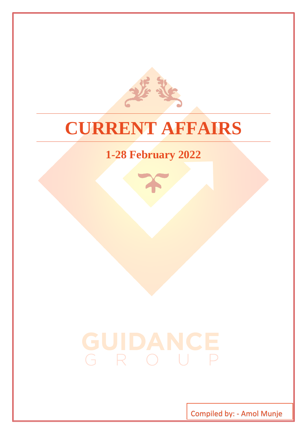

# **CURRENT AFFAIRS**

# **1-28 February 2022**

# GUIDANCE<br>GROUP

Compiled by: - Amol Munje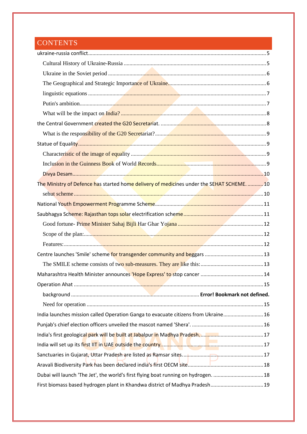# **CONTENTS**

| The Ministry of Defence has started home delivery of medicines under the SEHAT SCHEME10 |
|-----------------------------------------------------------------------------------------|
|                                                                                         |
|                                                                                         |
|                                                                                         |
|                                                                                         |
|                                                                                         |
|                                                                                         |
|                                                                                         |
|                                                                                         |
|                                                                                         |
|                                                                                         |
|                                                                                         |
|                                                                                         |
| India launches mission called Operation Ganga to evacuate citizens from Ukraine 16      |
|                                                                                         |
|                                                                                         |
|                                                                                         |
|                                                                                         |
|                                                                                         |
| Dubai will launch 'The Jet', the world's first flying boat running on hydrogen.  18     |
| First biomass based hydrogen plant in Khandwa district of Madhya Pradesh 19             |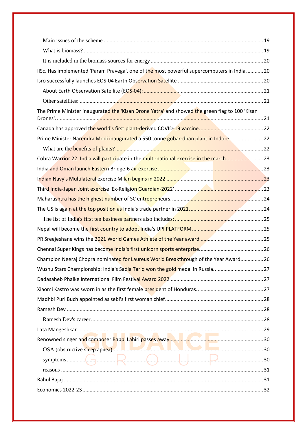| IISc. Has implemented 'Param Pravega', one of the most powerful supercomputers in India 20     |
|------------------------------------------------------------------------------------------------|
|                                                                                                |
|                                                                                                |
|                                                                                                |
| The Prime Minister inaugurated the 'Kisan Drone Yatra' and showed the green flag to 100 'Kisan |
|                                                                                                |
|                                                                                                |
| Prime Minister Narendra Modi inaugurated a 550 tonne gobar-dhan plant in Indore.  22           |
|                                                                                                |
| Cobra Warrior 22: India will participate in the multi-national exercise in the march23         |
|                                                                                                |
|                                                                                                |
|                                                                                                |
|                                                                                                |
|                                                                                                |
|                                                                                                |
|                                                                                                |
|                                                                                                |
|                                                                                                |
| Champion Neeraj Chopra nominated for Laureus World Breakthrough of the Year Award 26           |
|                                                                                                |
|                                                                                                |
|                                                                                                |
|                                                                                                |
|                                                                                                |
|                                                                                                |
|                                                                                                |
|                                                                                                |
|                                                                                                |
|                                                                                                |
|                                                                                                |
|                                                                                                |
|                                                                                                |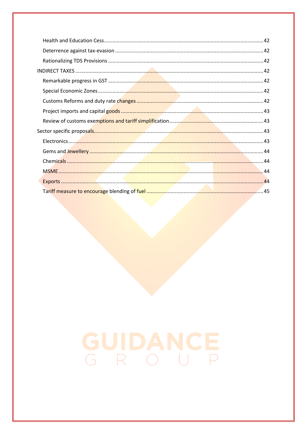# GUIDANCE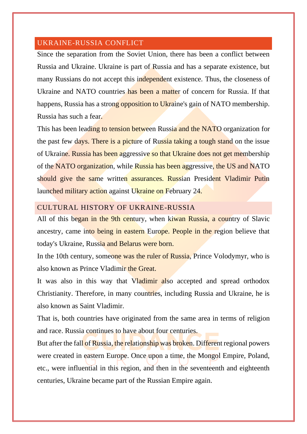# <span id="page-5-0"></span>UKRAINE-RUSSIA CONFLICT

Since the separation from the Soviet Union, there has been a conflict between Russia and Ukraine. Ukraine is part of Russia and has a separate existence, but many Russians do not accept this independent existence. Thus, the closeness of Ukraine and NATO countries has been a matter of concern for Russia. If that happens, Russia has a strong opposition to Ukraine's gain of NATO membership. Russia has such a fear.

This has been leading to tension between Russia and the NATO organization for the past few days. There is a picture of Russia taking a tough stand on the issue of Ukraine. Russia has been aggressive so that Ukraine does not get membership of the NATO organization, while Russia has been aggressive, the US and NATO should give the same written assurances. Russian President Vladimir Putin launched military action against Ukraine on February 24.

# <span id="page-5-1"></span>CULTURAL HISTORY OF UKRAINE-RUSSIA

All of this began in the 9th century, when kiwan Russia, a country of Slavic ancestry, came into being in eastern Europe. People in the region believe that today's Ukraine, Russia and Belarus were born.

In the 10th century, someone was the ruler of Russia, Prince Volodymyr, who is also known as Prince Vladimir the Great.

It was also in this way that Vladimir also accepted and spread orthodox Christianity. Therefore, in many countries, including Russia and Ukraine, he is also known as Saint Vladimir.

That is, both countries have originated from the same area in terms of religion and race. Russia continues to have about four centuries.

But after the fall of Russia, the relationship was broken. Different regional powers were created in eastern Europe. Once upon a time, the Mongol Empire, Poland, etc., were influential in this region, and then in the seventeenth and eighteenth centuries, Ukraine became part of the Russian Empire again.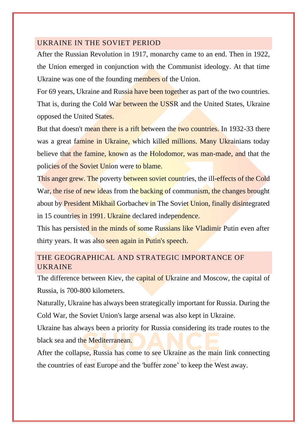# <span id="page-6-0"></span>UKRAINE IN THE SOVIET PERIOD

After the Russian Revolution in 1917, monarchy came to an end. Then in 1922, the Union emerged in conjunction with the Communist ideology. At that time Ukraine was one of the founding members of the Union.

For 69 years, Ukraine and Russia have been together as part of the two countries. That is, during the Cold War between the USSR and the United States, Ukraine opposed the United States.

But that doesn't mean there is a rift between the two countries. In 1932-33 there was a great famine in Ukraine, which killed millions. Many Ukrainians today believe that the famine, known as the Holodomor, was man-made, and that the policies of the Soviet Union were to blame.

This anger grew. The poverty between soviet countries, the ill-effects of the Cold War, the rise of new ideas from the backing of communism, the changes brought about by President Mikhail Gorbachev in The Soviet Union, finally disintegrated in 15 countries in 1991. Ukraine declared independence.

This has persisted in the minds of some Russians like Vladimir Putin even after thirty years. It was also seen again in Putin's speech.

# <span id="page-6-1"></span>THE GEOGRAPHICAL AND STRATEGIC IMPORTANCE OF UKRAINE

The difference between Kiev, the capital of Ukraine and Moscow, the capital of Russia, is 700-800 kilometers.

Naturally, Ukraine has always been strategically important for Russia. During the Cold War, the Soviet Union's large arsenal was also kept in Ukraine.

Ukraine has always been a priority for Russia considering its trade routes to the black sea and the Mediterranean.

After the collapse, Russia has come to see Ukraine as the main link connecting the countries of east Europe and the 'buffer zone' to keep the West away.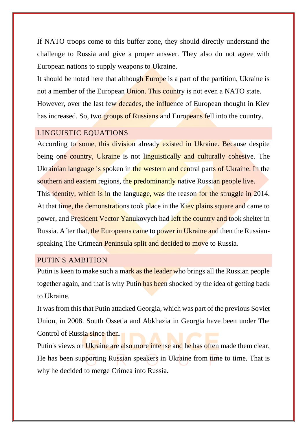If NATO troops come to this buffer zone, they should directly understand the challenge to Russia and give a proper answer. They also do not agree with European nations to supply weapons to Ukraine.

It should be noted here that although Europe is a part of the partition, Ukraine is not a member of the European Union. This country is not even a NATO state. However, over the last few decades, the influence of European thought in Kiev has increased. So, two groups of Russians and Europeans fell into the country.

# <span id="page-7-0"></span>LINGUISTIC EQUATIONS

According to some, this division already existed in Ukraine. Because despite being one country, Ukraine is not linguistically and culturally cohesive. The Ukrainian language is spoken in the western and central parts of Ukraine. In the southern and eastern regions, the predominantly native Russian people live. This identity, which is in the language, was the reason for the struggle in 2014. At that time, the demonstrations took place in the Kiev plains square and came to power, and President Vector Yanukovych had left the country and took shelter in Russia. After that, the Europeans came to power in Ukraine and then the Russianspeaking The Crimean Peninsula split and decided to move to Russia.

# <span id="page-7-1"></span>PUTIN'S AMBITION

Putin is keen to make such a mark as the leader who brings all the Russian people together again, and that is why Putin has been shocked by the idea of getting back to Ukraine.

It was from this that Putin attacked Georgia, which was part of the previous Soviet Union, in 2008. South Ossetia and Abkhazia in Georgia have been under The Control of Russia since then.

Putin's views on Ukraine are also more intense and he has often made them clear. He has been supporting Russian speakers in Ukraine from time to time. That is why he decided to merge Crimea into Russia.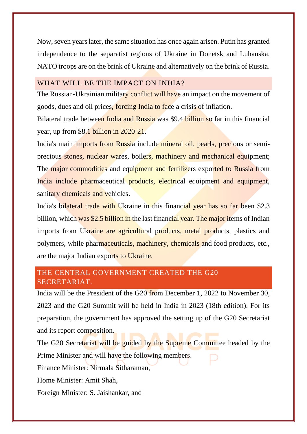Now, seven years later, the same situation has once again arisen. Putin has granted independence to the separatist regions of Ukraine in Donetsk and Luhanska. NATO troops are on the brink of Ukraine and alternatively on the brink of Russia.

# <span id="page-8-0"></span>WHAT WILL BE THE IMPACT ON INDIA?

The Russian-Ukrainian military conflict will have an impact on the movement of goods, dues and oil prices, forcing India to face a crisis of inflation.

Bilateral trade between India and Russia was \$9.4 billion so far in this financial year, up from \$8.1 billion in 2020-21.

India's main imports from Russia include mineral oil, pearls, precious or semiprecious stones, nuclear wares, boilers, machinery and mechanical equipment; The major commodities and equipment and fertilizers exported to Russia from India include pharmaceutical products, electrical equipment and equipment, sanitary chemicals and vehicles.

India's bilateral trade with Ukraine in this financial year has so far been \$2.3 billion, which was \$2.5 billion in the last financial year. The major items of Indian imports from Ukraine are agricultural products, metal products, plastics and polymers, while pharmaceuticals, machinery, chemicals and food products, etc., are the major Indian exports to Ukraine.

# <span id="page-8-1"></span>THE CENTRAL GOVERNMENT CREATED THE G20 SECRETARIAT.

India will be the President of the G20 from December 1, 2022 to November 30, 2023 and the G20 Summit will be held in India in 2023 (18th edition). For its preparation, the government has approved the setting up of the G20 Secretariat and its report composition.

The G20 Secretariat will be guided by the Supreme Committee headed by the Prime Minister and will have the following members.

Finance Minister: Nirmala Sitharaman,

Home Minister: Amit Shah,

Foreign Minister: S. Jaishankar, and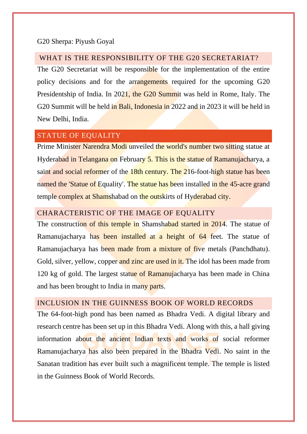#### G20 Sherpa: Piyush Goyal

# <span id="page-9-0"></span>WHAT IS THE RESPONSIBILITY OF THE G20 SECRETARIAT?

The G20 Secretariat will be responsible for the implementation of the entire policy decisions and for the arrangements required for the upcoming G20 Presidentship of India. In 2021, the G20 Summit was held in Rome, Italy. The G20 Summit will be held in Bali, Indonesia in 2022 and in 2023 it will be held in New Delhi, India.

# <span id="page-9-1"></span>STATUE OF EQUALITY

Prime Minister Narendra Modi unveiled the world's number two sitting statue at Hyderabad in Telangana on February 5. This is the statue of Ramanujacharya, a saint and social reformer of the 18th century. The 216-foot-high statue has been named the 'Statue of Equality'. The statue has been installed in the 45-acre grand temple complex at Shamshabad on the outskirts of Hyderabad city.

# <span id="page-9-2"></span>CHARACTERISTIC OF THE IMAGE OF EQUALITY

The construction of this temple in Shamshabad started in 2014. The statue of Ramanujacharya has been installed at a height of 64 feet. The statue of Ramanujacharya has been made from a mixture of five metals (Panchdhatu). Gold, silver, yellow, copper and zinc are used in it. The idol has been made from 120 kg of gold. The largest statue of Ramanujacharya has been made in China and has been brought to India in many parts.

# <span id="page-9-3"></span>INCLUSION IN THE GUINNESS BOOK OF WORLD RECORDS

The 64-foot-high pond has been named as Bhadra Vedi. A digital library and research centre has been set up in this Bhadra Vedi. Along with this, a hall giving information about the ancient Indian texts and works of social reformer Ramanujacharya has also been prepared in the Bhadra Vedi. No saint in the Sanatan tradition has ever built such a magnificent temple. The temple is listed in the Guinness Book of World Records.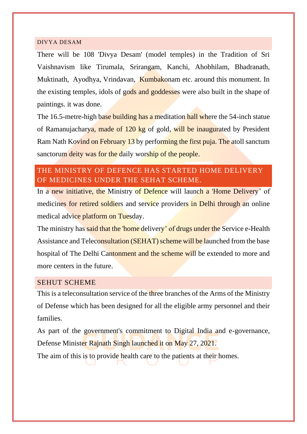#### <span id="page-10-0"></span>DIVYA DESAM

There will be 108 'Divya Desam' (model temples) in the Tradition of Sri Vaishnavism like Tirumala, Srirangam, Kanchi, Ahobhilam, Bhadranath, Muktinath, Ayodhya, Vrindavan, Kumbakonam etc. around this monument. In the existing temples, idols of gods and goddesses were also built in the shape of paintings. it was done.

The 16.5-metre-high base building has a meditation hall where the 54-inch statue of Ramanujacharya, made of 120 kg of gold, will be inaugurated by President Ram Nath Kovind on February 13 by performing the first puja. The atoll sanctum sanctorum deity was for the daily worship of the people.

# <span id="page-10-1"></span>THE MINISTRY OF DEFENCE HAS STARTED HOME DELIVERY OF MEDICINES UNDER THE SEHAT SCHEME.

In a new initiative, the Ministry of Defence will launch a 'Home Delivery' of medicines for retired soldiers and service providers in Delhi through an online medical advice platform on Tuesday.

The ministry has said that the 'home delivery' of drugs under the Service e-Health Assistance and Teleconsultation (SEHAT) scheme will be launched from the base hospital of The Delhi Cantonment and the scheme will be extended to more and more centers in the future.

#### <span id="page-10-2"></span>SEHUT SCHEME

This is a teleconsultation service of the three branches of the Arms of the Ministry of Defense which has been designed for all the eligible army personnel and their families.

As part of the government's commitment to Digital India and e-governance, Defense Minister Rajnath Singh launched it on May 27, 2021.

The aim of this is to provide health care to the patients at their homes.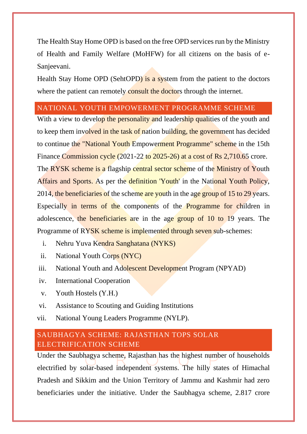The Health Stay Home OPD is based on the free OPD services run by the Ministry of Health and Family Welfare (MoHFW) for all citizens on the basis of e-Sanjeevani.

Health Stay Home OPD (SehtOPD) is a system from the patient to the doctors where the patient can remotely consult the doctors through the internet.

# <span id="page-11-0"></span>NATIONAL YOUTH EMPOWERMENT PROGRAMME SCHEME

With a view to develop the personality and leadership qualities of the youth and to keep them involved in the task of nation building, the government has decided to continue the "National Youth Empowerment Programme" scheme in the 15th Finance Commission cycle (2021-22 to 2025-26) at a cost of Rs 2,710.65 crore. The RYSK scheme is a flagship central sector scheme of the Ministry of Youth Affairs and Sports. As per the definition 'Youth' in the National Youth Policy, 2014, the beneficiaries of the scheme are youth in the age group of 15 to 29 years. Especially in terms of the components of the Programme for children in adolescence, the beneficiaries are in the age group of 10 to 19 years. The Programme of RYSK scheme is implemented through seven sub-schemes:

- i. Nehru Yuva Kendra Sanghatana (NYKS)
- ii. National Youth Corps (NYC)
- iii. National Youth and Adolescent Development Program (NPYAD)
- iv. International Cooperation
- v. Youth Hostels (Y.H.)
- vi. Assistance to Scouting and Guiding Institutions
- vii. National Young Leaders Programme (NYLP).

# <span id="page-11-1"></span>SAUBHAGYA SCHEME: RAJASTHAN TOPS SOLAR ELECTRIFICATION SCHEME

Under the Saubhagya scheme, Rajasthan has the highest number of households electrified by solar-based independent systems. The hilly states of Himachal Pradesh and Sikkim and the Union Territory of Jammu and Kashmir had zero beneficiaries under the initiative. Under the Saubhagya scheme, 2.817 crore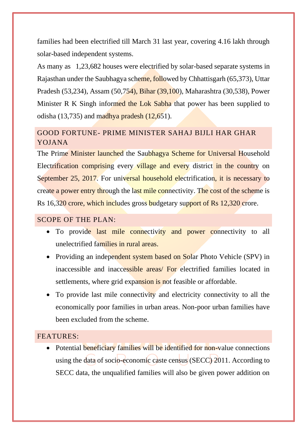families had been electrified till March 31 last year, covering 4.16 lakh through solar-based independent systems.

As many as 1,23,682 houses were electrified by solar-based separate systems in Rajasthan under the Saubhagya scheme, followed by Chhattisgarh (65,373), Uttar Pradesh (53,234), Assam (50,754), Bihar (39,100), Maharashtra (30,538), Power Minister R K Singh informed the Lok Sabha that power has been supplied to odisha  $(13,735)$  and madhya pradesh  $(12,651)$ .

# <span id="page-12-0"></span>GOOD FORTUNE- PRIME MINISTER SAHAJ BIJLI HAR GHAR YOJANA

The Prime Minister launched the Saubhagya Scheme for Universal Household Electrification comprising every village and every district in the country on September 25, 2017. For universal household electrification, it is necessary to create a power entry through the last mile connectivity. The cost of the scheme is Rs 16,320 crore, which includes gross budgetary support of Rs 12,320 crore.

# <span id="page-12-1"></span>SCOPE OF THE PLAN:

- To provide last mile connectivity and power connectivity to all unelectrified families in rural areas.
- Providing an independent system based on Solar Photo Vehicle (SPV) in inaccessible and inaccessible areas/ For electrified families located in settlements, where grid expansion is not feasible or affordable.
- To provide last mile connectivity and electricity connectivity to all the economically poor families in urban areas. Non-poor urban families have been excluded from the scheme.

# <span id="page-12-2"></span>FEATURES:

• Potential beneficiary families will be identified for non-value connections using the data of socio-economic caste census (SECC) 2011. According to SECC data, the unqualified families will also be given power addition on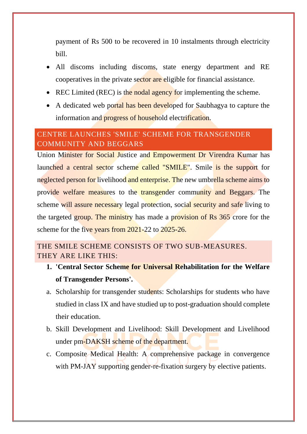payment of Rs 500 to be recovered in 10 instalments through electricity bill.

- All discoms including discoms, state energy department and RE cooperatives in the private sector are eligible for financial assistance.
- REC Limited (REC) is the nodal agency for implementing the scheme.
- A dedicated web portal has been developed for Saubhagya to capture the information and progress of household electrification.

# <span id="page-13-0"></span>CENTRE LAUNCHES 'SMILE' SCHEME FOR TRANSGENDER COMMUNITY AND BEGGARS

Union Minister for Social Justice and Empowerment Dr Virendra Kumar has launched a central sector scheme called "SMILE". Smile is the support for neglected person for livelihood and enterprise. The new umbrella scheme aims to provide welfare measures to the transgender community and Beggars. The scheme will assure necessary legal protection, social security and safe living to the targeted group. The ministry has made a provision of Rs 365 crore for the scheme for the five years from 2021-22 to 2025-26.

<span id="page-13-1"></span>THE SMILE SCHEME CONSISTS OF TWO SUB-MEASURES. THEY ARE LIKE THIS:

- **1. 'Central Sector Scheme for Universal Rehabilitation for the Welfare of Transgender Persons'.**
- a. Scholarship for transgender students: Scholarships for students who have studied in class IX and have studied up to post-graduation should complete their education.
- b. Skill Development and Livelihood: Skill Development and Livelihood under pm-DAKSH scheme of the department.
- c. Composite Medical Health: A comprehensive package in convergence with PM-JAY supporting gender-re-fixation surgery by elective patients.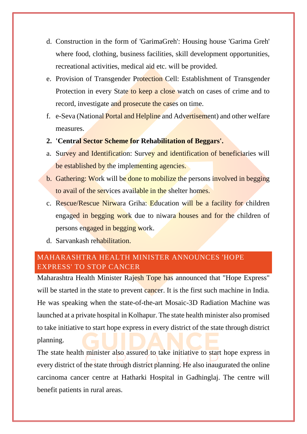- d. Construction in the form of 'GarimaGreh': Housing house 'Garima Greh' where food, clothing, business facilities, skill development opportunities, recreational activities, medical aid etc. will be provided.
- e. Provision of Transgender Protection Cell: Establishment of Transgender Protection in every State to keep a close watch on cases of crime and to record, investigate and prosecute the cases on time.
- f. e-Seva (National Portal and Helpline and Advertisement) and other welfare measures.
- **2. 'Central Sector Scheme for Rehabilitation of Beggars'.**
- a. Survey and Identification: Survey and identification of beneficiaries will be established by the implementing agencies.
- b. Gathering: Work will be done to mobilize the persons involved in begging to avail of the services available in the shelter homes.
- c. Rescue/Rescue Nirwara Griha: Education will be a facility for children engaged in begging work due to niwara houses and for the children of persons engaged in begging work.
- d. Sarvankash rehabilitation.

# <span id="page-14-0"></span>MAHARASHTRA HEALTH MINISTER ANNOUNCES 'HOPE EXPRESS' TO STOP CANCER

Maharashtra Health Minister Rajesh Tope has announced that "Hope Express" will be started in the state to prevent cancer. It is the first such machine in India. He was speaking when the state-of-the-art Mosaic-3D Radiation Machine was launched at a private hospital in Kolhapur. The state health minister also promised to take initiative to start hope express in every district of the state through district planning.

The state health minister also assured to take initiative to start hope express in every district of the state through district planning. He also inaugurated the online carcinoma cancer centre at Hatharki Hospital in Gadhinglaj. The centre will benefit patients in rural areas.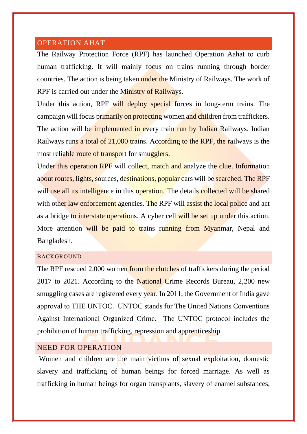## <span id="page-15-0"></span>OPERATION AHAT

The Railway Protection Force (RPF) has launched Operation Aahat to curb human trafficking. It will mainly focus on trains running through border countries. The action is being taken under the Ministry of Railways. The work of RPF is carried out under the Ministry of Railways.

Under this action, RPF will deploy special forces in long-term trains. The campaign will focus primarily on protecting women and children from traffickers. The action will be implemented in every train run by Indian Railways. Indian Railways runs a total of 21,000 trains. According to the RPF, the railways is the most reliable route of transport for smugglers.

Under this operation RPF will collect, match and analyze the clue. Information about routes, lights, sources, destinations, popular cars will be searched. The RPF will use all its intelligence in this operation. The details collected will be shared with other law enforcement agencies. The RPF will assist the local police and act as a bridge to interstate operations. A cyber cell will be set up under this action. More attention will be paid to trains running from Myanmar, Nepal and Bangladesh.

#### BACKGROUND

The RPF rescued 2,000 women from the clutches of traffickers during the period 2017 to 2021. According to the National Crime Records Bureau, 2,200 new smuggling cases are registered every year. In 2011, the Government of India gave approval to THE UNTOC. UNTOC stands for The United Nations Conventions Against International Organized Crime. The UNTOC protocol includes the prohibition of human trafficking, repression and apprenticeship.

### <span id="page-15-1"></span>NEED FOR OPERATION

Women and children are the main victims of sexual exploitation, domestic slavery and trafficking of human beings for forced marriage. As well as trafficking in human beings for organ transplants, slavery of enamel substances,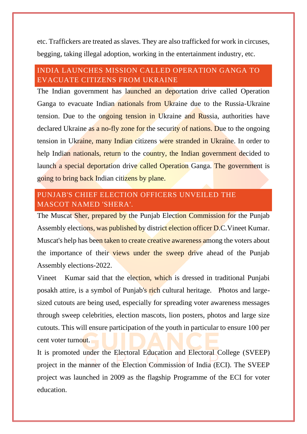etc. Traffickers are treated as slaves. They are also trafficked for work in circuses, begging, taking illegal adoption, working in the entertainment industry, etc.

# <span id="page-16-0"></span>INDIA LAUNCHES MISSION CALLED OPERATION GANGA TO EVACUATE CITIZENS FROM UKRAINE

The Indian government has launched an deportation drive called Operation Ganga to evacuate Indian nationals from Ukraine due to the Russia-Ukraine tension. Due to the ongoing tension in Ukraine and Russia, authorities have declared Ukraine as a no-fly zone for the security of nations. Due to the ongoing tension in Ukraine, many Indian citizens were stranded in Ukraine. In order to help Indian nationals, return to the country, the Indian government decided to launch a special deportation drive called Operation Ganga. The government is going to bring back Indian citizens by plane.

# <span id="page-16-1"></span>PUNJAB'S CHIEF ELECTION OFFICERS UNVEILED THE MASCOT NAMED 'SHERA'.

The Muscat Sher, prepared by the Punjab Election Commission for the Punjab Assembly elections, was published by district election officer D.C.Vineet Kumar. Muscat's help has been taken to create creative awareness among the voters about the importance of their views under the sweep drive ahead of the Punjab Assembly elections-2022.

Vineet Kumar said that the election, which is dressed in traditional Punjabi posakh attire, is a symbol of Punjab's rich cultural heritage. Photos and largesized cutouts are being used, especially for spreading voter awareness messages through sweep celebrities, election mascots, lion posters, photos and large size cutouts. This will ensure participation of the youth in particular to ensure 100 per cent voter turnout.

It is promoted under the Electoral Education and Electoral College (SVEEP) project in the manner of the Election Commission of India (ECI). The SVEEP project was launched in 2009 as the flagship Programme of the ECI for voter education.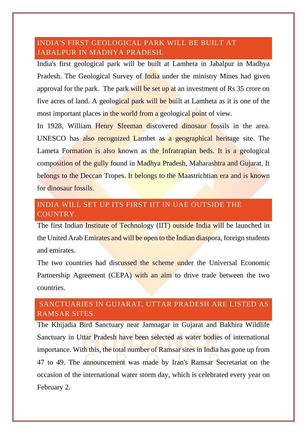# <span id="page-17-0"></span>INDIA'S FIRST GEOLOGICAL PARK WILL BE BUILT AT JABALPUR IN MADHYA PRADESH.

India's first geological park will be built at Lamheta in Jabalpur in Madhya Pradesh. The Geological Survey of India under the ministry Mines had given approval for the park. The park will be set up at an investment of Rs 35 crore on five acres of land. A geological park will be built at Lamheta as it is one of the most important places in the world from a geological point of view.

In 1928, William Henry Sleeman discovered dinosaur fossils in the area. UNESCO has also recognized Lamhet as a geographical heritage site. The Lameta Formation is also known as the Infratrapian beds. It is a geological composition of the gully found in Madhya Pradesh, Maharashtra and Gujarat. It belongs to the Deccan Tropes. It belongs to the Maastrichtian era and is known for dinosaur fossils.

# <span id="page-17-1"></span>INDIA WILL SET UP ITS FIRST IIT IN UAE OUTSIDE THE COUNTRY.

The first Indian Institute of Technology (IIT) outside India will be launched in the United Arab Emirates and will be open to the Indian diaspora, foreign students and emirates.

The two countries had discussed the scheme under the Universal Economic Partnership Agreement (CEPA) with an aim to drive trade between the two countries.

# <span id="page-17-2"></span>SANCTUARIES IN GUJARAT, UTTAR PRADESH ARE LISTED AS RAMSAR SITES.

The Khijadia Bird Sanctuary near Jamnagar in Gujarat and Bakhira Wildlife Sanctuary in Uttar Pradesh have been selected as water bodies of international importance. With this, the total number of Ramsar sites in India has gone up from 47 to 49. The announcement was made by Iran's Ramsar Secretariat on the occasion of the international water storm day, which is celebrated every year on February 2.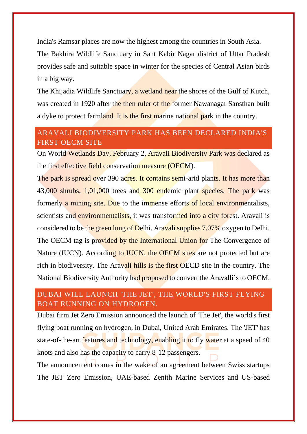India's Ramsar places are now the highest among the countries in South Asia.

The Bakhira Wildlife Sanctuary in Sant Kabir Nagar district of Uttar Pradesh provides safe and suitable space in winter for the species of Central Asian birds in a big way.

The Khijadia Wildlife Sanctuary, a wetland near the shores of the Gulf of Kutch, was created in 1920 after the then ruler of the former Nawanagar Sansthan built a dyke to protect farmland. It is the first marine national park in the country.

# <span id="page-18-0"></span>ARAVALI BIODIVERSITY PARK HAS BEEN DECLARED INDIA'S FIRST OECM SITE

On World Wetlands Day, February 2, Aravali Biodiversity Park was declared as the first effective field conservation measure (OECM).

The park is spread over 390 acres. It contains semi-arid plants. It has more than 43,000 shrubs, 1,01,000 trees and 300 endemic plant species. The park was formerly a mining site. Due to the immense efforts of local environmentalists, scientists and environmentalists, it was transformed into a city forest. Aravali is considered to be the green lung of Delhi. Aravali supplies 7.07% oxygen to Delhi. The OECM tag is provided by the International Union for The Convergence of Nature (IUCN). According to **IUCN**, the OECM sites are not protected but are rich in biodiversity. The Aravali hills is the first OECD site in the country. The National Biodiversity Authority had proposed to convert the Aravalli's to OECM.

# <span id="page-18-1"></span>DUBAI WILL LAUNCH 'THE JET', THE WORLD'S FIRST FLYING BOAT RUNNING ON HYDROGEN.

Dubai firm Jet Zero Emission announced the launch of 'The Jet', the world's first flying boat running on hydrogen, in Dubai, United Arab Emirates. The 'JET' has state-of-the-art features and technology, enabling it to fly water at a speed of 40 knots and also has the capacity to carry 8-12 passengers.

The announcement comes in the wake of an agreement between Swiss startups The JET Zero Emission, UAE-based Zenith Marine Services and US-based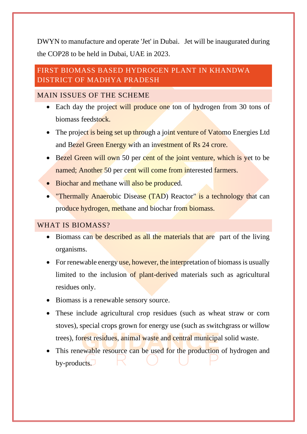DWYN to manufacture and operate 'Jet' in Dubai. Jet will be inaugurated during the COP28 to be held in Dubai, UAE in 2023.

# <span id="page-19-0"></span>FIRST BIOMASS BASED HYDROGEN PLANT IN KHANDWA DISTRICT OF MADHYA PRADESH

# <span id="page-19-1"></span>MAIN ISSUES OF THE SCHEME

- Each day the project will produce one ton of hydrogen from 30 tons of biomass feedstock.
- The project is being set up through a joint venture of Vatomo Energies Ltd and Bezel Green Energy with an investment of Rs 24 crore.
- Bezel Green will own 50 per cent of the joint venture, which is yet to be named; Another 50 per cent will come from interested farmers.
- Biochar and methane will also be produced.
- "Thermally Anaerobic Disease (TAD) Reactor" is a technology that can produce hydrogen, methane and biochar from biomass.

## <span id="page-19-2"></span>WHAT IS BIOMASS?

- Biomass can be described as all the materials that are part of the living organisms.
- For renewable energy use, however, the interpretation of biomass is usually limited to the inclusion of plant-derived materials such as agricultural residues only.
- Biomass is a renewable sensory source.
- These include agricultural crop residues (such as wheat straw or corn stoves), special crops grown for energy use (such as switchgrass or willow trees), forest residues, animal waste and central municipal solid waste.
- This renewable resource can be used for the production of hydrogen and by-products.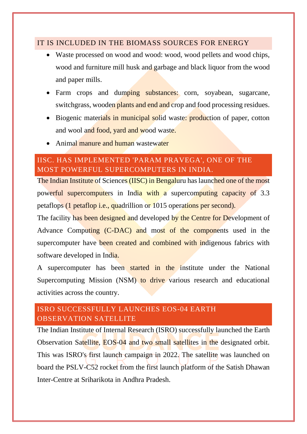# <span id="page-20-0"></span>IT IS INCLUDED IN THE BIOMASS SOURCES FOR ENERGY

- Waste processed on wood and wood: wood, wood pellets and wood chips, wood and furniture mill husk and garbage and black liquor from the wood and paper mills.
- Farm crops and dumping substances: corn, soyabean, sugarcane, switchgrass, wooden plants and end and crop and food processing residues.
- Biogenic materials in municipal solid waste: production of paper, cotton and wool and food, yard and wood waste.
- Animal manure and human wastewater

# <span id="page-20-1"></span>IISC. HAS IMPLEMENTED 'PARAM PRAVEGA', ONE OF THE MOST POWERFUL SUPERCOMPUTERS IN INDIA.

The Indian Institute of Sciences (IISC) in Bengaluru has launched one of the most powerful supercomputers in India with a supercomputing capacity of 3.3 petaflops (1 petaflop i.e., quadrillion or 1015 operations per second).

The facility has been designed and developed by the Centre for Development of Advance Computing (C-DAC) and most of the components used in the supercomputer have been created and combined with indigenous fabrics with software developed in India.

A supercomputer has been started in the institute under the National Supercomputing Mission (NSM) to drive various research and educational activities across the country.

# <span id="page-20-2"></span>ISRO SUCCESSFULLY LAUNCHES EOS-04 EARTH OBSERVATION SATELLITE

The Indian Institute of Internal Research (ISRO) successfully launched the Earth Observation Satellite, EOS-04 and two small satellites in the designated orbit. This was ISRO's first launch campaign in 2022. The satellite was launched on board the PSLV-C52 rocket from the first launch platform of the Satish Dhawan Inter-Centre at Sriharikota in Andhra Pradesh.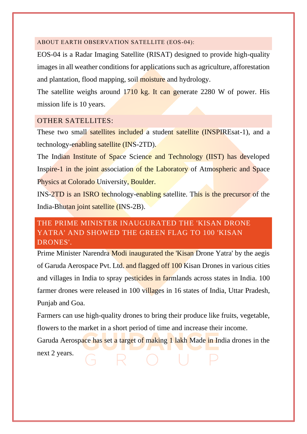#### <span id="page-21-0"></span>ABOUT EARTH OBSERVATION SATELLITE (EOS-04):

EOS-04 is a Radar Imaging Satellite (RISAT) designed to provide high-quality images in all weather conditions for applications such as agriculture, afforestation and plantation, flood mapping, soil moisture and hydrology.

The satellite weighs around 1710 kg. It can generate 2280 W of power. His mission life is 10 years.

#### <span id="page-21-1"></span>OTHER SATELLITES:

These two small satellites included a student satellite (INSPIREsat-1), and a technology-enabling satellite (INS-2TD).

The Indian Institute of Space Science and Technology (IIST) has developed Inspire-1 in the joint association of the Laboratory of Atmospheric and Space Physics at Colorado University, Boulder.

INS-2TD is an ISRO technology-enabling satellite. This is the precursor of the India-Bhutan joint satellite (INS-2B).

# <span id="page-21-2"></span>THE PRIME MINISTER INAUGURATED THE 'KISAN DRONE YATRA' AND SHOWED THE GREEN FLAG TO 100 'KISAN DRONES'.

Prime Minister Narendra Modi inaugurated the 'Kisan Drone Yatra' by the aegis of Garuda Aerospace Pvt. Ltd. and flagged off 100 Kisan Drones in various cities and villages in India to spray pesticides in farmlands across states in India. 100 farmer drones were released in 100 villages in 16 states of India, Uttar Pradesh, Punjab and Goa.

Farmers can use high-quality drones to bring their produce like fruits, vegetable, flowers to the market in a short period of time and increase their income.

Garuda Aerospace has set a target of making 1 lakh Made in India drones in the next 2 years.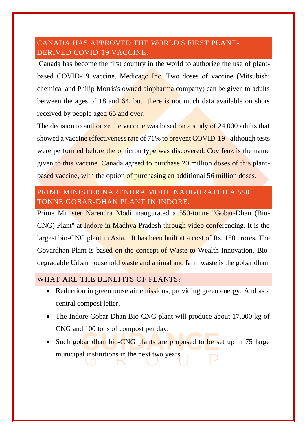# <span id="page-22-0"></span>CANADA HAS APPROVED THE WORLD'S FIRST PLANT-DERIVED COVID-19 VACCINE.

Canada has become the first country in the world to authorize the use of plantbased COVID-19 vaccine. Medicago Inc. Two doses of vaccine (Mitsubishi chemical and Philip Morris's owned biopharma company) can be given to adults between the ages of 18 and 64, but there is not much data available on shots received by people aged 65 and over.

The decision to authorize the vaccine was based on a study of 24,000 adults that showed a vaccine effectiveness rate of 71% to prevent COVID-19 - although tests were performed before the omicron type was discovered. Covifenz is the name given to this vaccine. Canada agreed to purchase 20 million doses of this plantbased vaccine, with the option of purchasing an additional 56 million doses.

# <span id="page-22-1"></span>PRIME MINISTER NARENDRA MODI INAUGURATED A 550 TONNE GOBAR-DHAN PLANT IN INDORE.

Prime Minister Narendra Modi inaugurated a 550-tonne "Gobar-Dhan (Bio-CNG) Plant" at Indore in Madhya Pradesh through video conferencing. It is the largest bio-CNG plant in Asia. It has been built at a cost of Rs. 150 crores. The Govardhan Plant is based on the concept of Waste to Wealth Innovation. Biodegradable Urban household waste and animal and farm waste is the gobar dhan.

# <span id="page-22-2"></span>WHAT ARE THE BENEFITS OF PLANTS?

- Reduction in greenhouse air emissions, providing green energy; And as a central compost letter.
- The Indore Gobar Dhan Bio-CNG plant will produce about 17,000 kg of CNG and 100 tons of compost per day.
- Such gobar dhan bio-CNG plants are proposed to be set up in 75 large municipal institutions in the next two years.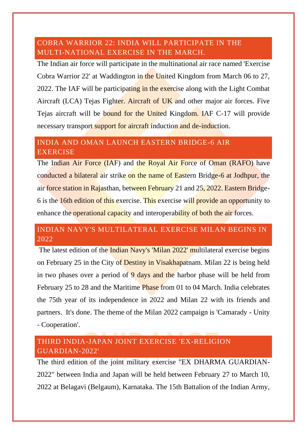# <span id="page-23-0"></span>COBRA WARRIOR 22: INDIA WILL PARTICIPATE IN THE MULTI-NATIONAL EXERCISE IN THE MARCH.

The Indian air force will participate in the multinational air race named 'Exercise Cobra Warrior 22' at Waddington in the United Kingdom from March 06 to 27, 2022. The IAF will be participating in the exercise along with the Light Combat Aircraft (LCA) Tejas Fighter. Aircraft of UK and other major air forces. Five Tejas aircraft will be bound for the United Kingdom. IAF C-17 will provide necessary transport support for aircraft induction and de-induction.

# <span id="page-23-1"></span>INDIA AND OMAN LAUNCH EASTERN BRIDGE-6 AIR EXERCISE

The Indian Air Force (IAF) and the Royal Air Force of Oman (RAFO) have conducted a bilateral air strike on the name of Eastern Bridge-6 at Jodhpur, the air force station in Rajasthan, between February 21 and 25, 2022. Eastern Bridge-6 is the 16th edition of this exercise. This exercise will provide an opportunity to enhance the operational capacity and interoperability of both the air forces.

# <span id="page-23-2"></span>INDIAN NAVY'S MULTILATERAL EXERCISE MILAN BEGINS IN 2022

The latest edition of the Indian Navy's 'Milan 2022' multilateral exercise begins on February 25 in the City of Destiny in Visakhapatnam. Milan 22 is being held in two phases over a period of  $9$  days and the harbor phase will be held from February 25 to 28 and the Maritime Phase from 01 to 04 March. India celebrates the 75th year of its independence in 2022 and Milan 22 with its friends and partners. It's done. The theme of the Milan 2022 campaign is 'Camarady - Unity - Cooperation'.

# <span id="page-23-3"></span>THIRD INDIA-JAPAN JOINT EXERCISE 'EX-RELIGION GUARDIAN-2022'

The third edition of the joint military exercise "EX DHARMA GUARDIAN-2022" between India and Japan will be held between February 27 to March 10, 2022 at Belagavi (Belgaum), Karnataka. The 15th Battalion of the Indian Army,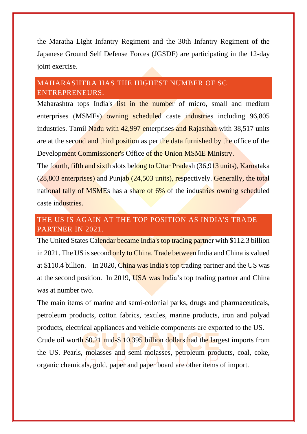the Maratha Light Infantry Regiment and the 30th Infantry Regiment of the Japanese Ground Self Defense Forces (JGSDF) are participating in the 12-day joint exercise.

# <span id="page-24-0"></span>MAHARASHTRA HAS THE HIGHEST NUMBER OF SC ENTREPRENEURS.

Maharashtra tops India's list in the number of micro, small and medium enterprises (MSMEs) owning scheduled caste industries including 96,805 industries. Tamil Nadu with 42,997 enterprises and Rajasthan with 38,517 units are at the second and third position as per the data furnished by the office of the Development Commissioner's Office of the Union MSME Ministry.

The fourth, fifth and sixth slots belong to Uttar Pradesh (36,913 units), Karnataka (28,803 enterprises) and Punjab (24,503 units), respectively. Generally, the total national tally of MSMEs has a share of 6% of the industries owning scheduled caste industries.

# <span id="page-24-1"></span>THE US IS AGAIN AT THE TOP POSITION AS INDIA'S TRADE PARTNER IN 2021.

The United States Calendar became India's top trading partner with \$112.3 billion in 2021. The US is second only to China. Trade between India and China is valued at \$110.4 billion. In 2020, China was India's top trading partner and the US was at the second position. In 2019, USA was India's top trading partner and China was at number two.

The main items of marine and semi-colonial parks, drugs and pharmaceuticals, petroleum products, cotton fabrics, textiles, marine products, iron and polyad products, electrical appliances and vehicle components are exported to the US. Crude oil worth \$0.21 mid-\$ 10,395 billion dollars had the largest imports from the US. Pearls, molasses and semi-molasses, petroleum products, coal, coke, organic chemicals, gold, paper and paper board are other items of import.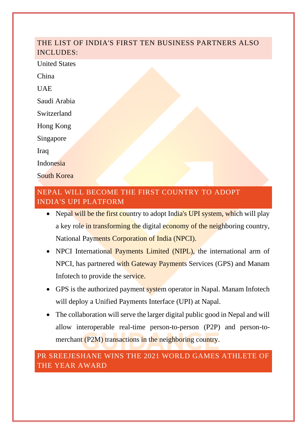# <span id="page-25-0"></span>THE LIST OF INDIA'S FIRST TEN BUSINESS PARTNERS ALSO INCLUDES:

United States

China

UAE

Saudi Arabia

Switzerland

Hong Kong

Singapore

Iraq

Indonesia

South Korea

# <span id="page-25-1"></span>NEPAL WILL BECOME THE FIRST COUNTRY TO ADOPT INDIA'S UPI PLATFORM

- Nepal will be the first country to adopt India's UPI system, which will play a key role in transforming the digital economy of the neighboring country, National Payments Corporation of India (NPCI).
- NPCI International Payments Limited (NIPL), the international arm of NPCI, has partnered with Gateway Payments Services (GPS) and Manam Infotech to provide the service.
- GPS is the authorized payment system operator in Napal. Manam Infotech will deploy a Unified Payments Interface (UPI) at Napal.
- The collaboration will serve the larger digital public good in Nepal and will allow interoperable real-time person-to-person (P2P) and person-tomerchant (P2M) transactions in the neighboring country.

<span id="page-25-2"></span>PR SREEJESHANE WINS THE 2021 WORLD GAMES ATHLETE OF THE YEAR AWARD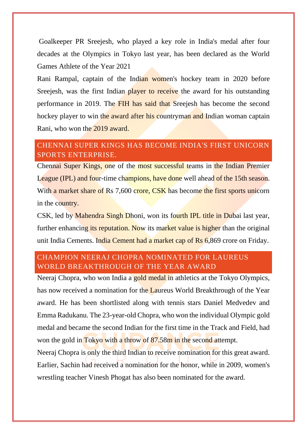Goalkeeper PR Sreejesh, who played a key role in India's medal after four decades at the Olympics in Tokyo last year, has been declared as the World Games Athlete of the Year 2021

Rani Rampal, captain of the Indian women's hockey team in 2020 before Sreejesh, was the first Indian player to receive the award for his outstanding performance in 2019. The FIH has said that Sreejesh has become the second hockey player to win the award after his countryman and Indian woman captain Rani, who won the 2019 award.

# <span id="page-26-0"></span>CHENNAI SUPER KINGS HAS BECOME INDIA'S FIRST UNICORN SPORTS ENTERPRISE.

Chennai Super Kings, one of the most successful teams in the Indian Premier League (IPL) and four-time champions, have done well ahead of the 15th season. With a market share of Rs 7,600 crore, CSK has become the first sports unicorn in the country.

CSK, led by Mahendra Singh Dhoni, won its fourth IPL title in Dubai last year, further enhancing its reputation. Now its market value is higher than the original unit India Cements. India Cement had a market cap of Rs 6,869 crore on Friday.

# <span id="page-26-1"></span>CHAMPION NEERAJ CHOPRA NOMINATED FOR LAUREUS WORLD BREAKTHROUGH OF THE YEAR AWARD

Neeraj Chopra, who won India a gold medal in athletics at the Tokyo Olympics, has now received a nomination for the Laureus World Breakthrough of the Year award. He has been shortlisted along with tennis stars Daniel Medvedev and Emma Radukanu. The 23-year-old Chopra, who won the individual Olympic gold medal and became the second Indian for the first time in the Track and Field, had won the gold in Tokyo with a throw of 87.58m in the second attempt.

Neeraj Chopra is only the third Indian to receive nomination for this great award. Earlier, Sachin had received a nomination for the honor, while in 2009, women's wrestling teacher Vinesh Phogat has also been nominated for the award.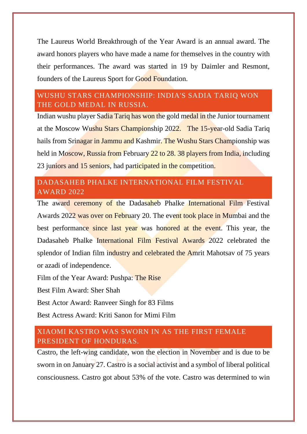The Laureus World Breakthrough of the Year Award is an annual award. The award honors players who have made a name for themselves in the country with their performances. The award was started in 19 by Daimler and Resmont, founders of the Laureus Sport for Good Foundation.

# <span id="page-27-0"></span>WUSHU STARS CHAMPIONSHIP: INDIA'S SADIA TARIQ WON THE GOLD MEDAL IN RUSSIA.

Indian wushu player Sadia Tariq has won the gold medal in the Junior tournament at the Moscow Wushu Stars Championship 2022. The 15-year-old Sadia Tariq hails from Srinagar in Jammu and Kashmir. The Wushu Stars Championship was held in Moscow, Russia from February 22 to 28. 38 players from India, including 23 juniors and 15 seniors, had participated in the competition.

# <span id="page-27-1"></span>DADASAHEB PHALKE INTERNATIONAL FILM FESTIVAL AWARD 2022

The award ceremony of the Dadasaheb Phalke International Film Festival Awards 2022 was over on February 20. The event took place in Mumbai and the best performance since last year was honored at the event. This year, the Dadasaheb Phalke International Film Festival Awards 2022 celebrated the splendor of Indian film industry and celebrated the Amrit Mahotsay of 75 years or azadi of independence.

Film of the Year Award: Pushpa: The Rise

Best Film Award: Sher Shah

Best Actor Award: Ranveer Singh for 83 Films

Best Actress Award: Kriti Sanon for Mimi Film

# <span id="page-27-2"></span>XIAOMI KASTRO WAS SWORN IN AS THE FIRST FEMALE PRESIDENT OF HONDURAS.

Castro, the left-wing candidate, won the election in November and is due to be sworn in on January 27. Castro is a social activist and a symbol of liberal political consciousness. Castro got about 53% of the vote. Castro was determined to win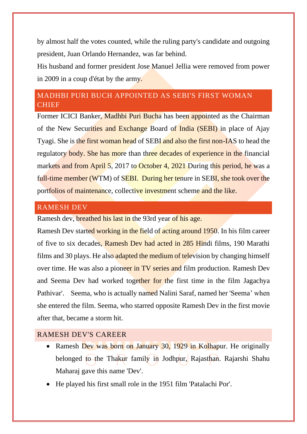by almost half the votes counted, while the ruling party's candidate and outgoing president, Juan Orlando Hernandez, was far behind.

His husband and former president Jose Manuel Jellia were removed from power in 2009 in a coup d'état by the army.

# <span id="page-28-0"></span>MADHBI PURI BUCH APPOINTED AS SEBI'S FIRST WOMAN CHIEF

Former ICICI Banker, Madhbi Puri Bucha has been appointed as the Chairman of the New Securities and Exchange Board of India (SEBI) in place of Ajay Tyagi. She is the first woman head of SEBI and also the first non-IAS to head the regulatory body. She has more than three decades of experience in the financial markets and from April 5, 2017 to October 4, 2021 During this period, he was a full-time member (WTM) of SEBI. During her tenure in SEBI, she took over the portfolios of maintenance, collective investment scheme and the like.

#### <span id="page-28-1"></span>RAMESH DEV

Ramesh dev, breathed his last in the 93rd year of his age.

Ramesh Dev started working in the field of acting around 1950. In his film career of five to six decades, Ramesh Dev had acted in 285 Hindi films, 190 Marathi films and 30 plays. He also adapted the medium of television by changing himself over time. He was also a pioneer in TV series and film production. Ramesh Dev and Seema Dev had worked together for the first time in the film Jagachya Pathivar'. Seema, who is actually named Nalini Saraf, named her 'Seema' when she entered the film. Seema, who starred opposite Ramesh Dev in the first movie after that, became a storm hit.

#### <span id="page-28-2"></span>RAMESH DEV'S CAREER

- Ramesh Dev was born on January 30, 1929 in Kolhapur. He originally belonged to the Thakur family in Jodhpur, Rajasthan. Rajarshi Shahu Maharaj gave this name 'Dev'.
- He played his first small role in the 1951 film 'Patalachi Por'.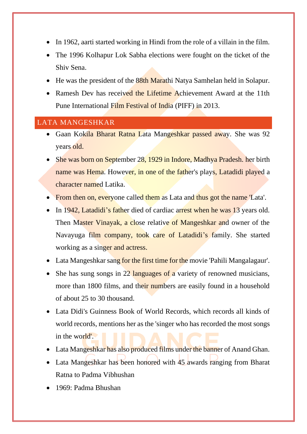- In 1962, aarti started working in Hindi from the role of a villain in the film.
- The 1996 Kolhapur Lok Sabha elections were fought on the ticket of the Shiv Sena.
- He was the president of the 88th Marathi Natya Samhelan held in Solapur.
- Ramesh Dev has received the Lifetime Achievement Award at the 11th Pune International Film Festival of India (PIFF) in 2013.

# <span id="page-29-0"></span>LATA MANGESHKAR

- Gaan Kokila Bharat Ratna Lata Mangeshkar passed away. She was 92 years old.
- She was born on September 28, 1929 in Indore, Madhya Pradesh. her birth name was Hema. However, in one of the father's plays, Latadidi played a character named Latika.
- From then on, everyone called them as Lata and thus got the name 'Lata'.
- In 1942, Latadidi's father died of cardiac arrest when he was 13 years old. Then Master Vinayak, a close relative of Mangeshkar and owner of the Navayuga film company, took care of Latadidi's family. She started working as a singer and actress.
- Lata Mangeshkar sang for the first time for the movie 'Pahili Mangalagaur'.
- She has sung songs in 22 languages of a variety of renowned musicians, more than 1800 films, and their numbers are easily found in a household of about 25 to 30 thousand.
- Lata Didi's Guinness Book of World Records, which records all kinds of world records, mentions her as the 'singer who has recorded the most songs in the world'.
- Lata Mangeshkar has also produced films under the banner of Anand Ghan.
- Lata Mangeshkar has been honored with 45 awards ranging from Bharat Ratna to Padma Vibhushan
- 1969: Padma Bhushan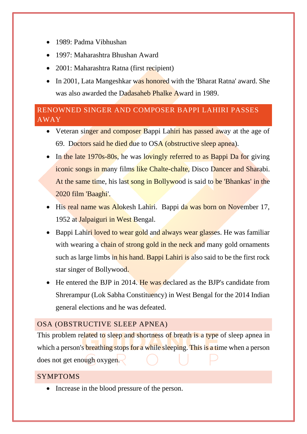- 1989: Padma Vibhushan
- 1997: Maharashtra Bhushan Award
- 2001: Maharashtra Ratna (first recipient)
- In 2001, Lata Mangeshkar was honored with the 'Bharat Ratna' award. She was also awarded the Dadasaheb Phalke Award in 1989.

# <span id="page-30-0"></span>RENOWNED SINGER AND COMPOSER BAPPI LAHIRI PASSES AWAY

- Veteran singer and composer Bappi Lahiri has passed away at the age of 69. Doctors said he died due to OSA (obstructive sleep apnea).
- In the late 1970s-80s, he was lovingly referred to as Bappi Da for giving iconic songs in many films like Chalte-chalte, Disco Dancer and Sharabi. At the same time, his last song in Bollywood is said to be 'Bhankas' in the 2020 film 'Baaghi'.
- His real name was Alokesh Lahiri. Bappi da was born on November 17, 1952 at Jalpaiguri in West Bengal.
- Bappi Lahiri loved to wear gold and always wear glasses. He was familiar with wearing a chain of strong gold in the neck and many gold ornaments such as large limbs in his hand. Bappi Lahiri is also said to be the first rock star singer of Bollywood.
- He entered the BJP in 2014. He was declared as the BJP's candidate from Shrerampur (Lok Sabha Constituency) in West Bengal for the 2014 Indian general elections and he was defeated.

# <span id="page-30-1"></span>OSA (OBSTRUCTIVE SLEEP APNEA)

This problem related to sleep and shortness of breath is a type of sleep apnea in which a person's **breathing stops for a while sleeping. This is a time** when a person does not get enough oxygen.

# <span id="page-30-2"></span>SYMPTOMS

• Increase in the blood pressure of the person.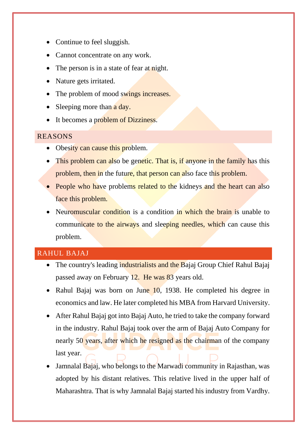- Continue to feel sluggish.
- Cannot concentrate on any work.
- The person is in a state of fear at night.
- Nature gets irritated.
- The problem of mood swings increases.
- Sleeping more than a day.
- It becomes a problem of Dizziness.

## <span id="page-31-0"></span>REASONS

- Obesity can cause this problem.
- This problem can also be genetic. That is, if anyone in the family has this problem, then in the future, that person can also face this problem.
- People who have problems related to the kidneys and the heart can also face this problem.
- Neuromuscular condition is a condition in which the brain is unable to communicate to the airways and sleeping needles, which can cause this problem.

# <span id="page-31-1"></span>RAHUL BAJAJ

- The country's leading industrialists and the Bajaj Group Chief Rahul Bajaj passed away on February 12. He was 83 years old.
- Rahul Bajaj was born on June 10, 1938. He completed his degree in economics and law. He later completed his MBA from Harvard University.
- After Rahul Bajaj got into Bajaj Auto, he tried to take the company forward in the industry. Rahul Bajaj took over the arm of Bajaj Auto Company for nearly 50 years, after which he resigned as the chairman of the company last year.
- Jamnalal Bajaj, who belongs to the Marwadi community in Rajasthan, was adopted by his distant relatives. This relative lived in the upper half of Maharashtra. That is why Jamnalal Bajaj started his industry from Vardhy.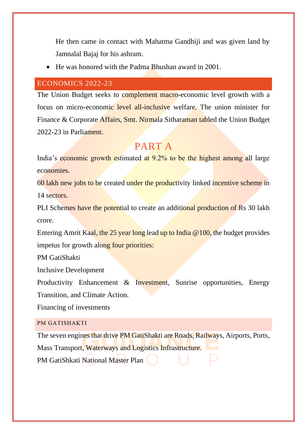He then came in contact with Mahatma Gandhiji and was given land by Jamnalal Bajaj for his ashram.

• He was honored with the Padma Bhushan award in 2001.

#### <span id="page-32-0"></span>ECONOMICS 2022-23

The Union Budget seeks to complement macro-economic level growth with a focus on micro-economic level all-inclusive welfare. The union minister for Finance & Corporate Affairs, Smt. Nirmala Sitharaman tabled the Union Budget 2022-23 in Parliament.

# PART A

India's economic growth estimated at 9.2% to be the highest among all large economies.

60 lakh new jobs to be created under the productivity linked incentive scheme in 14 sectors.

PLI Schemes have the potential to create an additional production of Rs 30 lakh crore.

Entering Amrit Kaal, the 25 year long lead up to India @100, the budget provides impetus for growth along four priorities:

PM GatiShakti

Inclusive Development

Productivity Enhancement & Investment, Sunrise opportunities, Energy Transition, and Climate Action.

Financing of investments

#### <span id="page-32-1"></span>PM GATISHAKTI

The seven engines that drive PM GatiShakti are Roads, Railways, Airports, Ports, Mass Transport, Waterways and Logistics Infrastructure. PM GatiShkati National Master Plan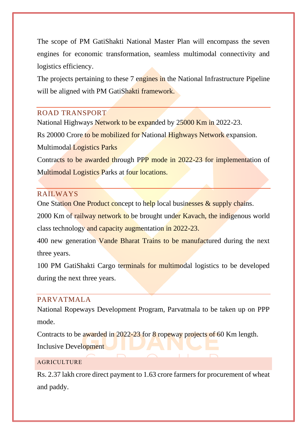The scope of PM GatiShakti National Master Plan will encompass the seven engines for economic transformation, seamless multimodal connectivity and logistics efficiency.

The projects pertaining to these 7 engines in the National Infrastructure Pipeline will be aligned with PM GatiShakti framework.

# <span id="page-33-0"></span>ROAD TRANSPORT

National Highways Network to be expanded by 25000 Km in 2022-23.

Rs 20000 Crore to be mobilized for National Highways Network expansion.

Multimodal Logistics Parks

Contracts to be awarded through PPP mode in 2022-23 for implementation of Multimodal Logistics Parks at four locations.

# <span id="page-33-1"></span>RAILWAYS

One Station One Product concept to help local businesses & supply chains.

2000 Km of railway network to be brought under Kavach, the indigenous world class technology and capacity augmentation in 2022-23.

400 new generation Vande Bharat Trains to be manufactured during the next three years.

100 PM GatiShakti Cargo terminals for multimodal logistics to be developed during the next three years.

## <span id="page-33-2"></span>PARVATMALA

National Ropeways Development Program, Parvatmala to be taken up on PPP mode.

Contracts to be awarded in 2022-23 for 8 ropeway projects of 60 Km length. Inclusive Development

## <span id="page-33-3"></span>AGRICULTURE

Rs. 2.37 lakh crore direct payment to 1.63 crore farmers for procurement of wheat and paddy.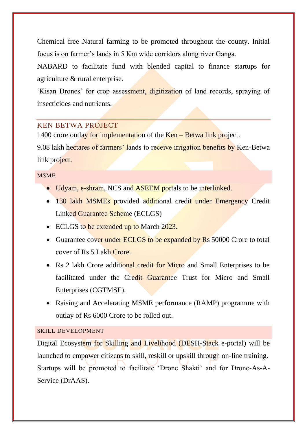Chemical free Natural farming to be promoted throughout the county. Initial focus is on farmer's lands in 5 Km wide corridors along river Ganga.

NABARD to facilitate fund with blended capital to finance startups for agriculture & rural enterprise.

'Kisan Drones' for crop assessment, digitization of land records, spraying of insecticides and nutrients.

# <span id="page-34-0"></span>KEN BETWA PROJECT

1400 crore outlay for implementation of the Ken – Betwa link project.

9.08 lakh hectares of farmers' lands to receive irrigation benefits by Ken-Betwa link project.

## <span id="page-34-1"></span>MSME

- Udyam, e-shram, NCS and ASEEM portals to be interlinked.
- 130 lakh MSMEs provided additional credit under Emergency Credit Linked Guarantee Scheme (ECLGS)
- ECLGS to be extended up to March 2023.
- Guarantee cover under ECLGS to be expanded by Rs 50000 Crore to total cover of Rs 5 Lakh Crore.
- Rs 2 lakh Crore additional credit for Micro and Small Enterprises to be facilitated under the Credit Guarantee Trust for Micro and Small Enterprises (CGTMSE).
- Raising and Accelerating MSME performance (RAMP) programme with outlay of Rs 6000 Crore to be rolled out.

# <span id="page-34-2"></span>SKILL DEVELOPMENT

Digital Ecosystem for Skilling and Livelihood (DESH-Stack e-portal) will be launched to empower citizens to skill, reskill or upskill through on-line training. Startups will be promoted to facilitate 'Drone Shakti' and for Drone-As-A-Service (DrAAS).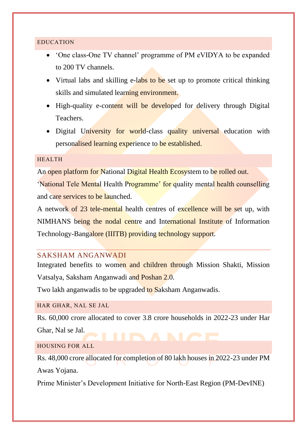#### <span id="page-35-0"></span>EDUCATION

- 'One class-One TV channel' programme of PM eVIDYA to be expanded to 200 TV channels.
- Virtual labs and skilling e-labs to be set up to promote critical thinking skills and simulated learning environment.
- High-quality e-content will be developed for delivery through Digital Teachers.
- Digital University for world-class quality universal education with personalised learning experience to be established.

#### <span id="page-35-1"></span>HEALTH

An open platform for National Digital Health Ecosystem to be rolled out.

'National Tele Mental Health Programme' for quality mental health counselling and care services to be launched.

A network of 23 tele-mental health centres of excellence will be set up, with NIMHANS being the nodal centre and International Institute of Information Technology-Bangalore (IIITB) providing technology support.

### <span id="page-35-2"></span>SAKSHAM ANGANWADI

Integrated benefits to women and children through Mission Shakti, Mission Vatsalya, Saksham Anganwadi and Poshan 2.0.

Two lakh anganwadis to be upgraded to Saksham Anganwadis.

#### <span id="page-35-3"></span>HAR GHAR, NAL SE JAL

Rs. 60,000 crore allocated to cover 3.8 crore households in 2022-23 under Har Ghar, Nal se Jal.

#### <span id="page-35-4"></span>HOUSING FOR ALL

Rs. 48,000 crore allocated for completion of 80 lakh houses in 2022-23 under PM Awas Yojana.

Prime Minister's Development Initiative for North-East Region (PM-DevINE)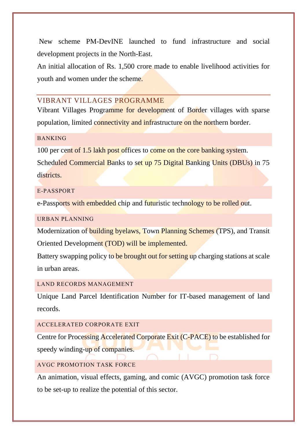New scheme PM-DevINE launched to fund infrastructure and social development projects in the North-East.

An initial allocation of Rs. 1,500 crore made to enable livelihood activities for youth and women under the scheme.

# <span id="page-36-0"></span>VIBRANT VILLAGES PROGRAMME

Vibrant Villages Programme for development of Border villages with sparse population, limited connectivity and infrastructure on the northern border.

#### <span id="page-36-1"></span>BANKING

100 per cent of 1.5 lakh post offices to come on the core banking system.

Scheduled Commercial Banks to set up 75 Digital Banking Units (DBUs) in 75 districts.

#### <span id="page-36-2"></span>E-PASSPORT

e-Passports with embedded chip and futuristic technology to be rolled out.

#### <span id="page-36-3"></span>URBAN PLANNING

Modernization of building byelaws, Town Planning Schemes (TPS), and Transit Oriented Development (TOD) will be implemented.

Battery swapping policy to be brought out for setting up charging stations at scale in urban areas.

# <span id="page-36-4"></span>LAND RECORDS MANAGEMENT

Unique Land Parcel Identification Number for IT-based management of land records.

#### <span id="page-36-5"></span>ACCELERATED CORPORATE EXIT

Centre for Processing Accelerated Corporate Exit (C-PACE) to be established for speedy winding-up of companies.

# <span id="page-36-6"></span>AVGC PROMOTION TASK FORCE

An animation, visual effects, gaming, and comic (AVGC) promotion task force to be set-up to realize the potential of this sector.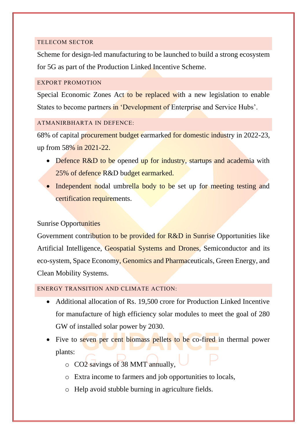#### <span id="page-37-0"></span>TELECOM SECTOR

Scheme for design-led manufacturing to be launched to build a strong ecosystem for 5G as part of the Production Linked Incentive Scheme.

#### <span id="page-37-1"></span>EXPORT PROMOTION

Special Economic Zones Act to be replaced with a new legislation to enable States to become partners in 'Development of Enterprise and Service Hubs'.

## <span id="page-37-2"></span>ATMANIRBHARTA IN DEFENCE:

68% of capital procurement budget earmarked for domestic industry in 2022-23, up from 58% in 2021-22.

- Defence R&D to be opened up for industry, startups and academia with 25% of defence R&D budget earmarked.
- Independent nodal umbrella body to be set up for meeting testing and certification requirements.

# Sunrise Opportunities

Government contribution to be provided for R&D in Sunrise Opportunities like Artificial Intelligence, Geospatial Systems and Drones, Semiconductor and its eco-system, Space Economy, Genomics and Pharmaceuticals, Green Energy, and Clean Mobility Systems.

## <span id="page-37-3"></span>ENERGY TRANSITION AND CLIMATE ACTION:

- Additional allocation of Rs. 19,500 crore for Production Linked Incentive for manufacture of high efficiency solar modules to meet the goal of 280 GW of installed solar power by 2030.
- Five to seven per cent biomass pellets to be co-fired in thermal power plants:
	- o CO2 savings of 38 MMT annually,
	- o Extra income to farmers and job opportunities to locals,
	- o Help avoid stubble burning in agriculture fields.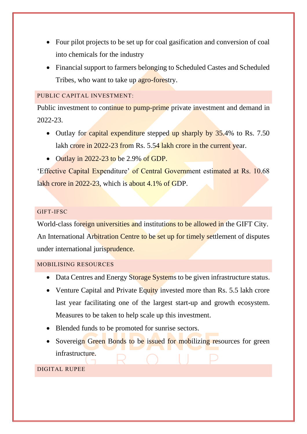- Four pilot projects to be set up for coal gasification and conversion of coal into chemicals for the industry
- Financial support to farmers belonging to Scheduled Castes and Scheduled Tribes, who want to take up agro-forestry.

#### <span id="page-38-0"></span>PUBLIC CAPITAL INVESTMENT:

Public investment to continue to pump-prime private investment and demand in 2022-23.

- Outlay for capital expenditure stepped up sharply by 35.4% to Rs. 7.50 lakh crore in 2022-23 from Rs. 5.54 lakh crore in the current year.
- Outlay in 2022-23 to be 2.9% of GDP.

'Effective Capital Expenditure' of Central Government estimated at Rs. 10.68 lakh crore in 2022-23, which is about 4.1% of GDP.

#### <span id="page-38-1"></span>GIFT-IFSC

World-class foreign universities and institutions to be allowed in the GIFT City. An International Arbitration Centre to be set up for timely settlement of disputes under international jurisprudence.

#### <span id="page-38-2"></span>MOBILISING RESOURCES

- Data Centres and Energy Storage Systems to be given infrastructure status.
- Venture Capital and Private Equity invested more than Rs. 5.5 lakh crore last year facilitating one of the largest start-up and growth ecosystem. Measures to be taken to help scale up this investment.
- Blended funds to be promoted for sunrise sectors.
- Sovereign Green Bonds to be issued for mobilizing resources for green infrastructure.

#### <span id="page-38-3"></span>DIGITAL RUPEE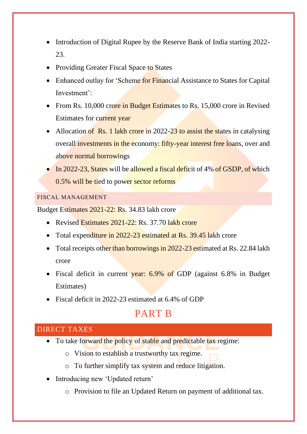- Introduction of Digital Rupee by the Reserve Bank of India starting 2022-23.
- Providing Greater Fiscal Space to States
- Enhanced outlay for 'Scheme for Financial Assistance to States for Capital Investment':
- From Rs. 10,000 crore in Budget Estimates to Rs. 15,000 crore in Revised Estimates for current year
- Allocation of Rs. 1 lakh crore in 2022-23 to assist the states in catalysing overall investments in the economy: fifty-year interest free loans, over and above normal borrowings
- In 2022-23, States will be allowed a fiscal deficit of 4% of GSDP, of which 0.5% will be tied to power sector reforms

<span id="page-39-0"></span>FISCAL MANAGEMENT

Budget Estimates 2021-22: Rs. 34.83 lakh crore

- Revised Estimates 2021-22: Rs. 37.70 lakh crore
- Total expenditure in 2022-23 estimated at Rs. 39.45 lakh crore
- Total receipts other than borrowings in 2022-23 estimated at Rs. 22.84 lakh crore
- Fiscal deficit in current year: 6.9% of GDP (against 6.8% in Budget Estimates)
- Fiscal deficit in 2022-23 estimated at 6.4% of GDP

# PART B

# <span id="page-39-1"></span>DIRECT TAXES

- To take forward the policy of stable and predictable tax regime:
	- o Vision to establish a trustworthy tax regime.
	- o To further simplify tax system and reduce litigation.
- Introducing new 'Updated return'
	- o Provision to file an Updated Return on payment of additional tax.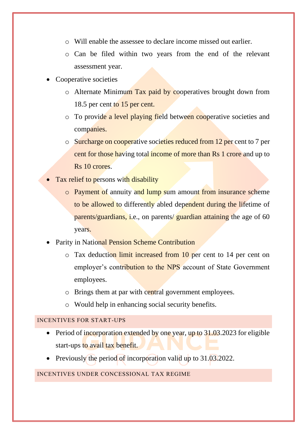- o Will enable the assessee to declare income missed out earlier.
- o Can be filed within two years from the end of the relevant assessment year.
- Cooperative societies
	- o Alternate Minimum Tax paid by cooperatives brought down from 18.5 per cent to 15 per cent.
	- o To provide a level playing field between cooperative societies and companies.
	- o Surcharge on cooperative societies reduced from 12 per cent to 7 per cent for those having total income of more than Rs 1 crore and up to Rs 10 crores.
- Tax relief to persons with disability
	- o Payment of annuity and lump sum amount from insurance scheme to be allowed to differently abled dependent during the lifetime of parents/guardians, i.e., on parents/ guardian attaining the age of 60 years.
- Parity in National Pension Scheme Contribution
	- o Tax deduction limit increased from 10 per cent to 14 per cent on employer's contribution to the NPS account of State Government employees.
	- o Brings them at par with central government employees.
	- o Would help in enhancing social security benefits.

#### <span id="page-40-0"></span>INCENTIVES FOR START-UPS

- Period of incorporation extended by one year, up to 31.03.2023 for eligible start-ups to avail tax benefit.
- Previously the period of incorporation valid up to 31.03.2022.

#### <span id="page-40-1"></span>INCENTIVES UNDER CONCESSIONAL TAX REGIME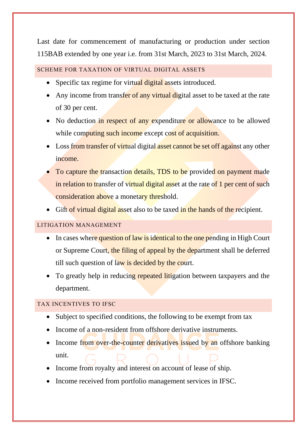Last date for commencement of manufacturing or production under section 115BAB extended by one year i.e. from 31st March, 2023 to 31st March, 2024.

## <span id="page-41-0"></span>SCHEME FOR TAXATION OF VIRTUAL DIGITAL ASSETS

- Specific tax regime for virtual digital assets introduced.
- Any income from transfer of any virtual digital asset to be taxed at the rate of 30 per cent.
- No deduction in respect of any expenditure or allowance to be allowed while computing such income except cost of acquisition.
- Loss from transfer of virtual digital asset cannot be set off against any other income.
- To capture the transaction details, TDS to be provided on payment made in relation to transfer of virtual digital asset at the rate of 1 per cent of such consideration above a monetary threshold.
- Gift of virtual digital asset also to be taxed in the hands of the recipient.

# <span id="page-41-1"></span>LITIGATION MANAGEMENT

- In cases where question of law is identical to the one pending in High Court or Supreme Court, the filing of appeal by the department shall be deferred till such question of law is decided by the court.
- To greatly help in reducing repeated litigation between taxpayers and the department.

# <span id="page-41-2"></span>TAX INCENTIVES TO IFSC

- Subject to specified conditions, the following to be exempt from tax
- Income of a non-resident from offshore derivative instruments.
- Income from over-the-counter derivatives issued by an offshore banking unit.
- Income from royalty and interest on account of lease of ship.
- Income received from portfolio management services in IFSC.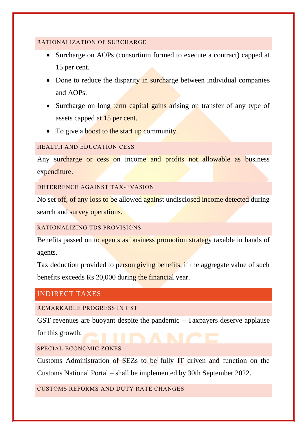#### <span id="page-42-0"></span>RATIONALIZATION OF SURCHARGE

- Surcharge on AOPs (consortium formed to execute a contract) capped at 15 per cent.
- Done to reduce the disparity in surcharge between individual companies and AOPs.
- Surcharge on long term capital gains arising on transfer of any type of assets capped at 15 per cent.
- To give a boost to the start up community.

#### <span id="page-42-1"></span>HEALTH AND EDUCATION CESS

Any surcharge or cess on income and profits not allowable as business expenditure.

<span id="page-42-2"></span>DETERRENCE AGAINST TAX-EVASION

No set off, of any loss to be allowed against undisclosed income detected during search and survey operations.

#### <span id="page-42-3"></span>RATIONALIZING TDS PROVISIONS

Benefits passed on to agents as business promotion strategy taxable in hands of agents.

Tax deduction provided to person giving benefits, if the aggregate value of such benefits exceeds Rs 20,000 during the financial year.

# <span id="page-42-4"></span>INDIRECT TAXES

<span id="page-42-5"></span>REMARKABLE PROGRESS IN GST

GST revenues are buoyant despite the pandemic – Taxpayers deserve applause for this growth.

<span id="page-42-6"></span>SPECIAL ECONOMIC ZONES

Customs Administration of SEZs to be fully IT driven and function on the

Customs National Portal – shall be implemented by 30th September 2022.

<span id="page-42-7"></span>CUSTOMS REFORMS AND DUTY RATE CHANGES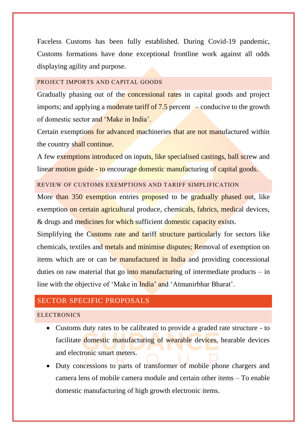Faceless Customs has been fully established. During Covid-19 pandemic, Customs formations have done exceptional frontline work against all odds displaying agility and purpose.

#### <span id="page-43-0"></span>PROJECT IMPORTS AND CAPITAL GOODS

Gradually phasing out of the **concessional rates** in capital goods and project imports; and applying a moderate tariff of  $7.5$  percent – conducive to the growth of domestic sector and 'Make in India'.

Certain exemptions for advanced machineries that are not manufactured within the country shall continue.

A few exemptions introduced on inputs, like specialised castings, ball screw and linear motion guide - to encourage domestic manufacturing of capital goods.

<span id="page-43-1"></span>REVIEW OF CUSTOMS EXEMPTIONS AND TARIFF SIMPLIFICATION

More than 350 exemption entries proposed to be gradually phased out, like exemption on certain agricultural produce, chemicals, fabrics, medical devices, & drugs and medicines for which sufficient domestic capacity exists.

Simplifying the Customs rate and tariff structure particularly for sectors like chemicals, textiles and metals and minimise disputes; Removal of exemption on items which are or can be manufactured in India and providing concessional duties on raw material that go into manufacturing of intermediate products – in line with the objective of 'Make in India' and 'Atmanirbhar Bharat'.

# <span id="page-43-2"></span>SECTOR SPECIFIC PROPOSALS

#### <span id="page-43-3"></span>**ELECTRONICS**

- Customs duty rates to be calibrated to provide a graded rate structure to facilitate domestic manufacturing of wearable devices, hearable devices and electronic smart meters.
- Duty concessions to parts of transformer of mobile phone chargers and camera lens of mobile camera module and certain other items – To enable domestic manufacturing of high growth electronic items.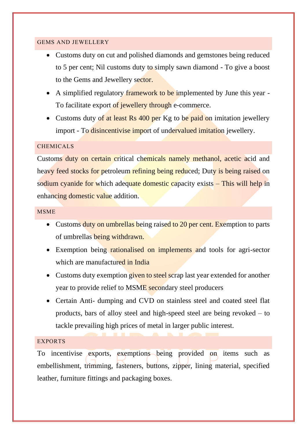#### <span id="page-44-0"></span>GEMS AND JEWELLERY

- Customs duty on cut and polished diamonds and gemstones being reduced to 5 per cent; Nil customs duty to simply sawn diamond - To give a boost to the Gems and Jewellery sector.
- A simplified regulatory framework to be implemented by June this year -To facilitate export of jewellery through e-commerce.
- Customs duty of at least Rs 400 per Kg to be paid on imitation jewellery import - To disincentivise import of undervalued imitation jewellery.

## <span id="page-44-1"></span>CHEMICALS

Customs duty on certain critical chemicals namely methanol, acetic acid and heavy feed stocks for petroleum refining being reduced; Duty is being raised on sodium cyanide for which adequate domestic capacity exists – This will help in enhancing domestic value addition.

#### <span id="page-44-2"></span>**MSME**

- Customs duty on umbrellas being raised to 20 per cent. Exemption to parts of umbrellas being withdrawn.
- Exemption being rationalised on implements and tools for agri-sector which are manufactured in India
- Customs duty exemption given to steel scrap last year extended for another year to provide relief to MSME secondary steel producers
- Certain Anti- dumping and CVD on stainless steel and coated steel flat products, bars of alloy steel and high-speed steel are being revoked – to tackle prevailing high prices of metal in larger public interest.

#### <span id="page-44-3"></span>EXPORTS

To incentivise exports, exemptions being provided on items such as embellishment, trimming, fasteners, buttons, zipper, lining material, specified leather, furniture fittings and packaging boxes.